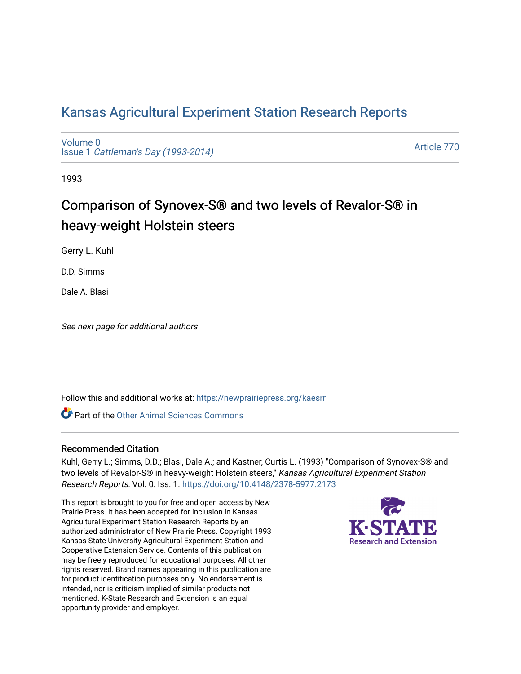# [Kansas Agricultural Experiment Station Research Reports](https://newprairiepress.org/kaesrr)

[Volume 0](https://newprairiepress.org/kaesrr/vol0) Issue 1 [Cattleman's Day \(1993-2014\)](https://newprairiepress.org/kaesrr/vol0/iss1) 

[Article 770](https://newprairiepress.org/kaesrr/vol0/iss1/770) 

1993

# Comparison of Synovex-S® and two levels of Revalor-S® in heavy-weight Holstein steers

Gerry L. Kuhl

D.D. Simms

Dale A. Blasi

See next page for additional authors

Follow this and additional works at: [https://newprairiepress.org/kaesrr](https://newprairiepress.org/kaesrr?utm_source=newprairiepress.org%2Fkaesrr%2Fvol0%2Fiss1%2F770&utm_medium=PDF&utm_campaign=PDFCoverPages) 

**C** Part of the [Other Animal Sciences Commons](http://network.bepress.com/hgg/discipline/82?utm_source=newprairiepress.org%2Fkaesrr%2Fvol0%2Fiss1%2F770&utm_medium=PDF&utm_campaign=PDFCoverPages)

#### Recommended Citation

Kuhl, Gerry L.; Simms, D.D.; Blasi, Dale A.; and Kastner, Curtis L. (1993) "Comparison of Synovex-S® and two levels of Revalor-S® in heavy-weight Holstein steers," Kansas Agricultural Experiment Station Research Reports: Vol. 0: Iss. 1.<https://doi.org/10.4148/2378-5977.2173>

This report is brought to you for free and open access by New Prairie Press. It has been accepted for inclusion in Kansas Agricultural Experiment Station Research Reports by an authorized administrator of New Prairie Press. Copyright 1993 Kansas State University Agricultural Experiment Station and Cooperative Extension Service. Contents of this publication may be freely reproduced for educational purposes. All other rights reserved. Brand names appearing in this publication are for product identification purposes only. No endorsement is intended, nor is criticism implied of similar products not mentioned. K-State Research and Extension is an equal opportunity provider and employer.

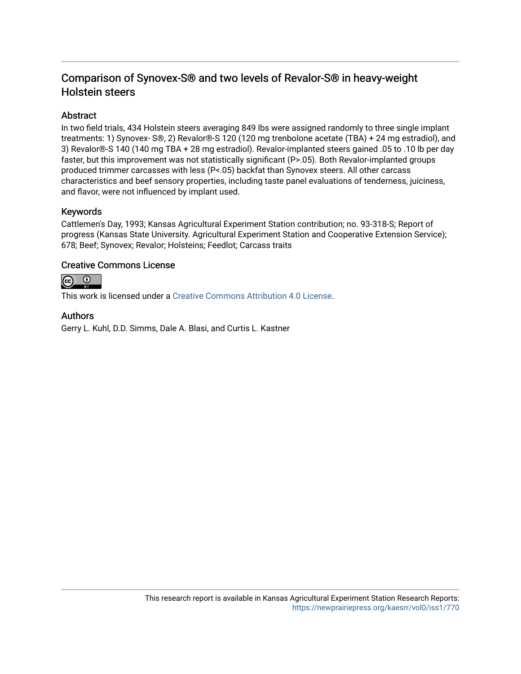# Comparison of Synovex-S® and two levels of Revalor-S® in heavy-weight Holstein steers

# **Abstract**

In two field trials, 434 Holstein steers averaging 849 lbs were assigned randomly to three single implant treatments: 1) Synovex- S®, 2) Revalor®-S 120 (120 mg trenbolone acetate (TBA) + 24 mg estradiol), and 3) Revalor®-S 140 (140 mg TBA + 28 mg estradiol). Revalor-implanted steers gained .05 to .10 lb per day faster, but this improvement was not statistically significant (P>.05). Both Revalor-implanted groups produced trimmer carcasses with less (P<.05) backfat than Synovex steers. All other carcass characteristics and beef sensory properties, including taste panel evaluations of tenderness, juiciness, and flavor, were not influenced by implant used.

## Keywords

Cattlemen's Day, 1993; Kansas Agricultural Experiment Station contribution; no. 93-318-S; Report of progress (Kansas State University. Agricultural Experiment Station and Cooperative Extension Service); 678; Beef; Synovex; Revalor; Holsteins; Feedlot; Carcass traits

## Creative Commons License



This work is licensed under a [Creative Commons Attribution 4.0 License](https://creativecommons.org/licenses/by/4.0/).

## Authors

Gerry L. Kuhl, D.D. Simms, Dale A. Blasi, and Curtis L. Kastner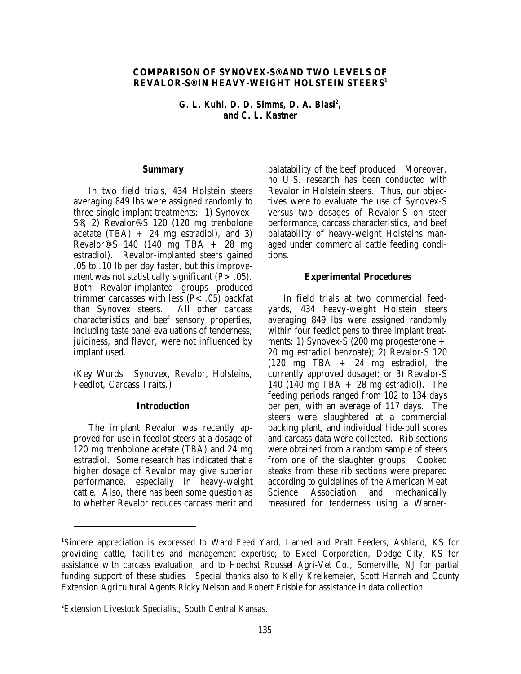#### **COMPARISON OF SYNOVEX-S® AND TWO LEVELS OF REVALOR-S® IN HEAVY-WEIGHT HOLSTEIN STEERS1**

*G. L. Kuhl, D. D. Simms, D. A. Blasi<sup>2</sup>, and C. L. Kastner*

#### **Summary**

In two field trials, 434 Holstein steers averaging 849 lbs were assigned randomly to three single implant treatments: 1) Synovex-S®, 2) Revalor®-S 120 (120 mg trenbolone acetate  $(TBA) + 24$  mg estradiol), and 3) Revalor®-S 140 (140 mg TBA + 28 mg estradiol). Revalor-implanted steers gained .05 to .10 lb per day faster, but this improvement was not statistically significant  $(P > .05)$ . Both Revalor-implanted groups produced trimmer carcasses with less  $(P< .05)$  backfat than Synovex steers. All other carcass than Synovex steers. characteristics and beef sensory properties, including taste panel evaluations of tenderness, juiciness, and flavor, were not influenced by implant used.

(Key Words: Synovex, Revalor, Holsteins, Feedlot, Carcass Traits.)

#### **Introduction**

The implant Revalor was recently approved for use in feedlot steers at a dosage of 120 mg trenbolone acetate (TBA) and 24 mg estradiol. Some research has indicated that a higher dosage of Revalor may give superior performance, especially in heavy-weight cattle. Also, there has been some question as to whether Revalor reduces carcass merit and

palatability of the beef produced. Moreover, no U.S. research has been conducted with Revalor in Holstein steers. Thus, our objectives were to evaluate the use of Synovex-S versus two dosages of Revalor-S on steer performance, carcass characteristics, and beef palatability of heavy-weight Holsteins managed under commercial cattle feeding conditions.

#### **Experimental Procedures**

In field trials at two commercial feedyards, 434 heavy-weight Holstein steers averaging 849 lbs were assigned randomly within four feedlot pens to three implant treatments: 1) Synovex-S (200 mg progesterone + 20 mg estradiol benzoate); 2) Revalor-S 120 (120 mg TBA + 24 mg estradiol, the currently approved dosage); or 3) Revalor-S 140 (140 mg TBA + 28 mg estradiol). The feeding periods ranged from 102 to 134 days per pen, with an average of 117 days. The steers were slaughtered at a commercial packing plant, and individual hide-pull scores and carcass data were collected. Rib sections were obtained from a random sample of steers from one of the slaughter groups. Cooked steaks from these rib sections were prepared according to guidelines of the American Meat Science Association and mechanically measured for tenderness using a Warner-

Sincere appreciation is expressed to Ward Feed Yard, Larned and Pratt Feeders, Ashland, KS for <sup>1</sup> providing cattle, facilities and management expertise; to Excel Corporation, Dodge City, KS for assistance with carcass evaluation; and to Hoechst Roussel Agri-Vet Co., Somerville, NJ for partial funding support of these studies. Special thanks also to Kelly Kreikemeier, Scott Hannah and County Extension Agricultural Agents Ricky Nelson and Robert Frisbie for assistance in data collection.

Extension Livestock Specialist, South Central Kansas. <sup>2</sup>